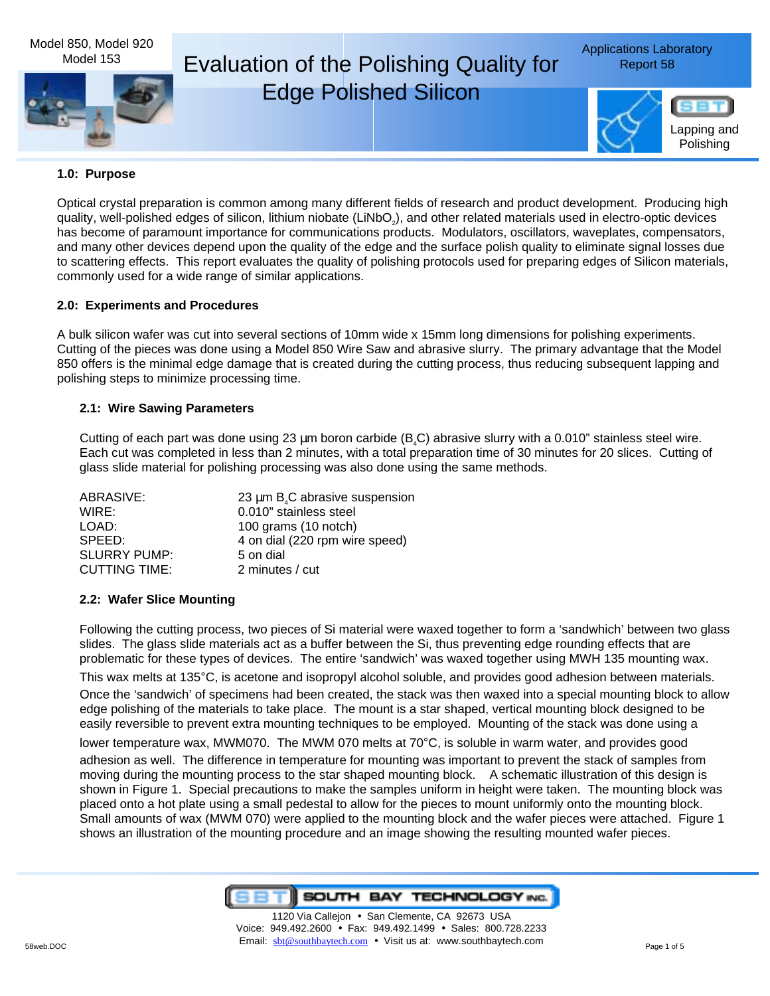

#### **1.0: Purpose**

Optical crystal preparation is common among many different fields of research and product development. Producing high quality, well-polished edges of silicon, lithium niobate (LiNbO<sub>2</sub>), and other related materials used in electro-optic devices has become of paramount importance for communications products. Modulators, oscillators, waveplates, compensators, and many other devices depend upon the quality of the edge and the surface polish quality to eliminate signal losses due to scattering effects. This report evaluates the quality of polishing protocols used for preparing edges of Silicon materials, commonly used for a wide range of similar applications.

## **2.0: Experiments and Procedures**

A bulk silicon wafer was cut into several sections of 10mm wide x 15mm long dimensions for polishing experiments. Cutting of the pieces was done using a Model 850 Wire Saw and abrasive slurry. The primary advantage that the Model 850 offers is the minimal edge damage that is created during the cutting process, thus reducing subsequent lapping and polishing steps to minimize processing time.

#### **2.1: Wire Sawing Parameters**

Cutting of each part was done using 23 µm boron carbide (B.C) abrasive slurry with a 0.010" stainless steel wire. Each cut was completed in less than 2 minutes, with a total preparation time of 30 minutes for 20 slices. Cutting of glass slide material for polishing processing was also done using the same methods.

| ABRASIVE:            | 23 $\mu$ m B <sub>4</sub> C abrasive suspension |
|----------------------|-------------------------------------------------|
| WIRE:                | 0.010" stainless steel                          |
| LOAD:                | 100 grams (10 notch)                            |
| SPEED:               | 4 on dial (220 rpm wire speed)                  |
| <b>SLURRY PUMP:</b>  | 5 on dial                                       |
| <b>CUTTING TIME:</b> | 2 minutes / cut                                 |

#### **2.2: Wafer Slice Mounting**

Following the cutting process, two pieces of Si material were waxed together to form a 'sandwhich' between two glass slides. The glass slide materials act as a buffer between the Si, thus preventing edge rounding effects that are problematic for these types of devices. The entire 'sandwich' was waxed together using MWH 135 mounting wax.

This wax melts at 135°C, is acetone and isopropyl alcohol soluble, and provides good adhesion between materials. Once the 'sandwich' of specimens had been created, the stack was then waxed into a special mounting block to allow edge polishing of the materials to take place. The mount is a star shaped, vertical mounting block designed to be easily reversible to prevent extra mounting techniques to be employed. Mounting of the stack was done using a

lower temperature wax, MWM070. The MWM 070 melts at 70°C, is soluble in warm water, and provides good

adhesion as well. The difference in temperature for mounting was important to prevent the stack of samples from moving during the mounting process to the star shaped mounting block. A schematic illustration of this design is shown in Figure 1. Special precautions to make the samples uniform in height were taken. The mounting block was placed onto a hot plate using a small pedestal to allow for the pieces to mount uniformly onto the mounting block. Small amounts of wax (MWM 070) were applied to the mounting block and the wafer pieces were attached. Figure 1 shows an illustration of the mounting procedure and an image showing the resulting mounted wafer pieces.

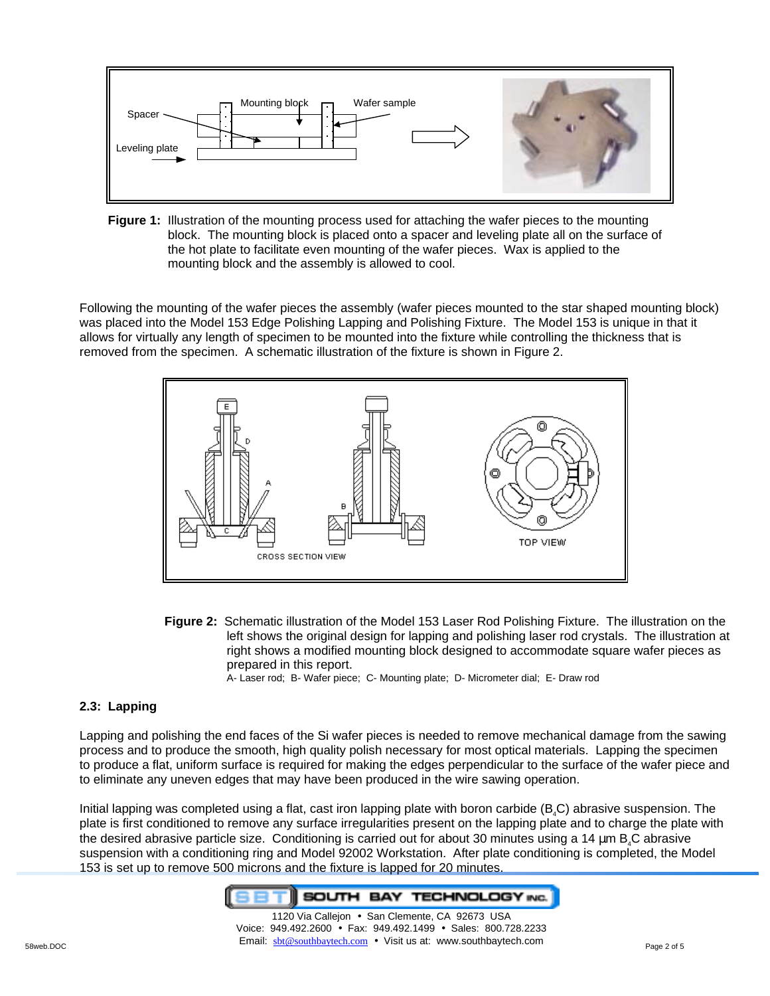

**Figure 1:** Illustration of the mounting process used for attaching the wafer pieces to the mounting block. The mounting block is placed onto a spacer and leveling plate all on the surface of the hot plate to facilitate even mounting of the wafer pieces. Wax is applied to the mounting block and the assembly is allowed to cool.

Following the mounting of the wafer pieces the assembly (wafer pieces mounted to the star shaped mounting block) was placed into the Model 153 Edge Polishing Lapping and Polishing Fixture. The Model 153 is unique in that it allows for virtually any length of specimen to be mounted into the fixture while controlling the thickness that is removed from the specimen. A schematic illustration of the fixture is shown in Figure 2.



**Figure 2:** Schematic illustration of the Model 153 Laser Rod Polishing Fixture. The illustration on the left shows the original design for lapping and polishing laser rod crystals. The illustration at right shows a modified mounting block designed to accommodate square wafer pieces as prepared in this report.

A- Laser rod; B- Wafer piece; C- Mounting plate; D- Micrometer dial; E- Draw rod

# **2.3: Lapping**

Lapping and polishing the end faces of the Si wafer pieces is needed to remove mechanical damage from the sawing process and to produce the smooth, high quality polish necessary for most optical materials. Lapping the specimen to produce a flat, uniform surface is required for making the edges perpendicular to the surface of the wafer piece and to eliminate any uneven edges that may have been produced in the wire sawing operation.

Initial lapping was completed using a flat, cast iron lapping plate with boron carbide ( $B_4C$ ) abrasive suspension. The plate is first conditioned to remove any surface irregularities present on the lapping plate and to charge the plate with the desired abrasive particle size. Conditioning is carried out for about 30 minutes using a 14 µm B<sub>4</sub>C abrasive suspension with a conditioning ring and Model 92002 Workstation. After plate conditioning is completed, the Model 153 is set up to remove 500 microns and the fixture is lapped for 20 minutes.

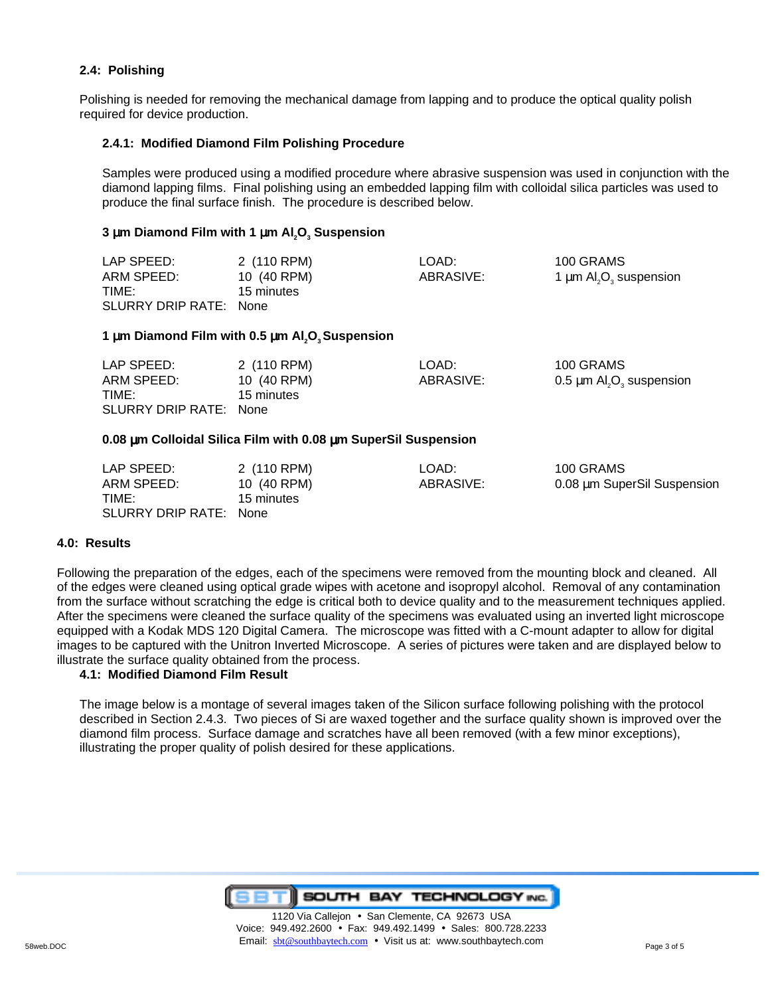## **2.4: Polishing**

Polishing is needed for removing the mechanical damage from lapping and to produce the optical quality polish required for device production.

#### **2.4.1: Modified Diamond Film Polishing Procedure**

Samples were produced using a modified procedure where abrasive suspension was used in conjunction with the diamond lapping films. Final polishing using an embedded lapping film with colloidal silica particles was used to produce the final surface finish. The procedure is described below.

## **3 µm Diamond Film with 1 µm Al<sub>2</sub>O<sub>3</sub> Suspension**

| LAP SPEED:             | 2 (110 RPM) | LOAD:     | 100 GRAMS                                           |
|------------------------|-------------|-----------|-----------------------------------------------------|
| ARM SPEED:             | 10 (40 RPM) | ABRASIVE: | 1 $\mu$ m Al <sub>2</sub> O <sub>3</sub> suspension |
| TIME:                  | 15 minutes  |           |                                                     |
| SLURRY DRIP RATE: None |             |           |                                                     |

#### **1 µm Diamond Film with 0.5 µm Al<sub>2</sub>O<sub>3</sub> Suspension**

| LAP SPEED:             | 2 (110 RPM) | LOAD:     | 100 GRAMS                                             |
|------------------------|-------------|-----------|-------------------------------------------------------|
| ARM SPEED:             | 10 (40 RPM) | ABRASIVE: | $0.5 \mu m$ Al <sub>2</sub> O <sub>3</sub> suspension |
| TIME:                  | 15 minutes  |           |                                                       |
| SLURRY DRIP RATE: None |             |           |                                                       |

#### **0.08** µ**m Colloidal Silica Film with 0.08** µ**m SuperSil Suspension**

| LAP SPEED:             | 2 (110 RPM) | LOAD:     | 100 GRAMS                   |
|------------------------|-------------|-----------|-----------------------------|
| ARM SPEED:             | 10 (40 RPM) | ABRASIVE: | 0.08 µm SuperSil Suspension |
| TIME:                  | 15 minutes  |           |                             |
| SLURRY DRIP RATE: None |             |           |                             |

#### **4.0: Results**

Following the preparation of the edges, each of the specimens were removed from the mounting block and cleaned. All of the edges were cleaned using optical grade wipes with acetone and isopropyl alcohol. Removal of any contamination from the surface without scratching the edge is critical both to device quality and to the measurement techniques applied. After the specimens were cleaned the surface quality of the specimens was evaluated using an inverted light microscope equipped with a Kodak MDS 120 Digital Camera. The microscope was fitted with a C-mount adapter to allow for digital images to be captured with the Unitron Inverted Microscope. A series of pictures were taken and are displayed below to illustrate the surface quality obtained from the process.

#### **4.1: Modified Diamond Film Result**

The image below is a montage of several images taken of the Silicon surface following polishing with the protocol described in Section 2.4.3. Two pieces of Si are waxed together and the surface quality shown is improved over the diamond film process. Surface damage and scratches have all been removed (with a few minor exceptions), illustrating the proper quality of polish desired for these applications.



58web.DOC **Email:** sbt@southbaytech.com • Visit us at: www.southbaytech.com Page 3 of 5 1120 Via Calleion · San Clemente, CA 92673 USA Voice: 949.492.2600 • Fax: 949.492.1499 • Sales: 800.728.2233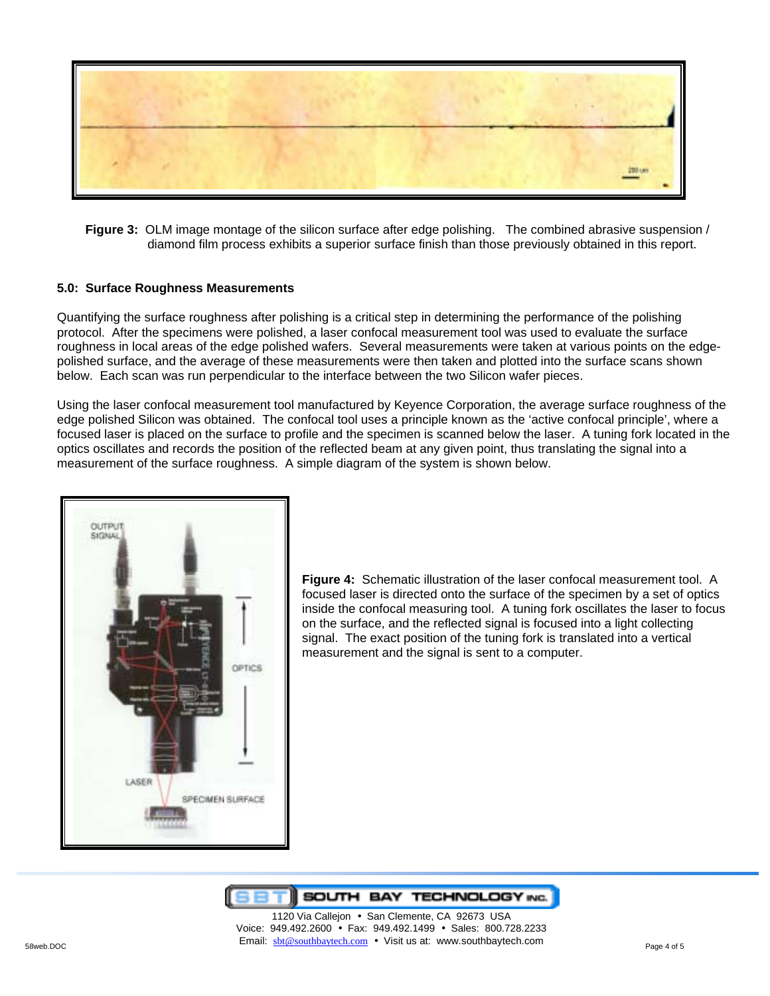

**Figure 3:** OLM image montage of the silicon surface after edge polishing. The combined abrasive suspension / diamond film process exhibits a superior surface finish than those previously obtained in this report.

## **5.0: Surface Roughness Measurements**

Quantifying the surface roughness after polishing is a critical step in determining the performance of the polishing protocol. After the specimens were polished, a laser confocal measurement tool was used to evaluate the surface roughness in local areas of the edge polished wafers. Several measurements were taken at various points on the edgepolished surface, and the average of these measurements were then taken and plotted into the surface scans shown below. Each scan was run perpendicular to the interface between the two Silicon wafer pieces.

Using the laser confocal measurement tool manufactured by Keyence Corporation, the average surface roughness of the edge polished Silicon was obtained. The confocal tool uses a principle known as the 'active confocal principle', where a focused laser is placed on the surface to profile and the specimen is scanned below the laser. A tuning fork located in the optics oscillates and records the position of the reflected beam at any given point, thus translating the signal into a measurement of the surface roughness. A simple diagram of the system is shown below.



**Figure 4:** Schematic illustration of the laser confocal measurement tool. A focused laser is directed onto the surface of the specimen by a set of optics inside the confocal measuring tool. A tuning fork oscillates the laser to focus on the surface, and the reflected signal is focused into a light collecting signal. The exact position of the tuning fork is translated into a vertical measurement and the signal is sent to a computer.



58web.DOC **Email:** sbt@southbaytech.com • Visit us at: www.southbaytech.com Page 4 of 5 1120 Via Callejon • San Clemente, CA 92673 USA Voice: 949.492.2600 • Fax: 949.492.1499 • Sales: 800.728.2233